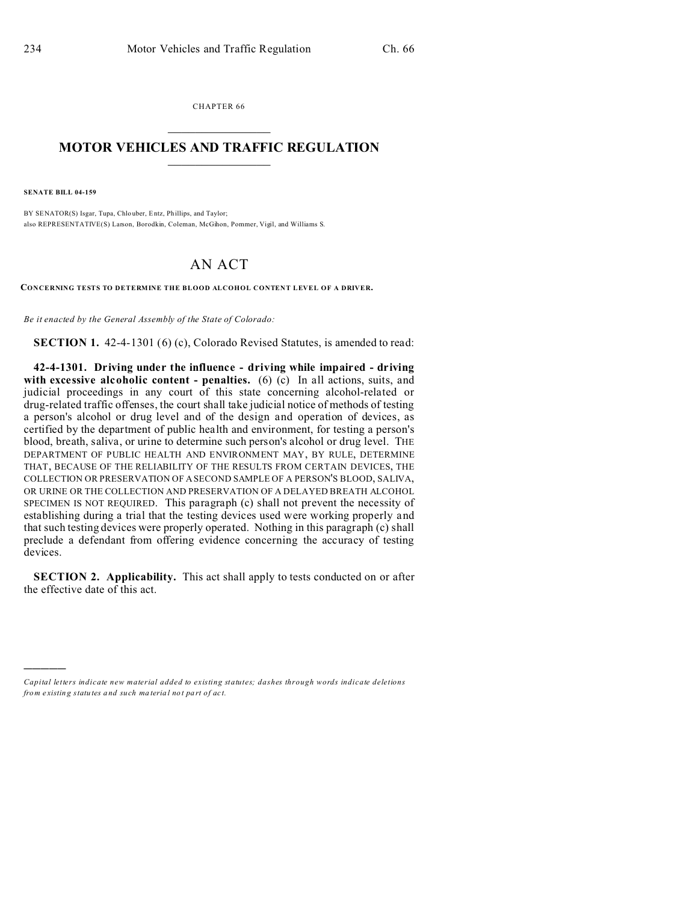CHAPTER 66  $\overline{\phantom{a}}$  , where  $\overline{\phantom{a}}$ 

## **MOTOR VEHICLES AND TRAFFIC REGULATION**  $\frac{1}{2}$  ,  $\frac{1}{2}$  ,  $\frac{1}{2}$  ,  $\frac{1}{2}$  ,  $\frac{1}{2}$  ,  $\frac{1}{2}$  ,  $\frac{1}{2}$

**SENATE BILL 04-159**

)))))

BY SENATOR(S) Isgar, Tupa, Chlo uber, Entz, Phillips, and Taylor; also REPRESENTATIVE(S) Larson, Borodkin, Coleman, McGihon, Pommer, Vigil, and Williams S.

## AN ACT

**CONCERNING TESTS TO DETERMINE THE BLOOD ALCOHOL CONTENT LEVEL OF A DRIVER.**

*Be it enacted by the General Assembly of the State of Colorado:*

**SECTION 1.** 42-4-1301 (6) (c), Colorado Revised Statutes, is amended to read:

**42-4-1301. Driving under the influence - driving while impaired - driving with excessive alcoholic content - penalties.** (6) (c) In all actions, suits, and judicial proceedings in any court of this state concerning alcohol-related or drug-related traffic offenses, the court shall take judicial notice of methods of testing a person's alcohol or drug level and of the design and operation of devices, as certified by the department of public health and environment, for testing a person's blood, breath, saliva, or urine to determine such person's alcohol or drug level. THE DEPARTMENT OF PUBLIC HEALTH AND ENVIRONMENT MAY, BY RULE, DETERMINE THAT, BECAUSE OF THE RELIABILITY OF THE RESULTS FROM CERTAIN DEVICES, THE COLLECTION OR PRESERVATION OF A SECOND SAMPLE OF A PERSON'S BLOOD, SALIVA, OR URINE OR THE COLLECTION AND PRESERVATION OF A DELAYED BREATH ALCOHOL SPECIMEN IS NOT REQUIRED. This paragraph (c) shall not prevent the necessity of establishing during a trial that the testing devices used were working properly and that such testing devices were properly operated. Nothing in this paragraph (c) shall preclude a defendant from offering evidence concerning the accuracy of testing devices.

**SECTION 2. Applicability.** This act shall apply to tests conducted on or after the effective date of this act.

*Capital letters indicate new material added to existing statutes; dashes through words indicate deletions from e xistin g statu tes a nd such ma teria l no t pa rt of ac t.*